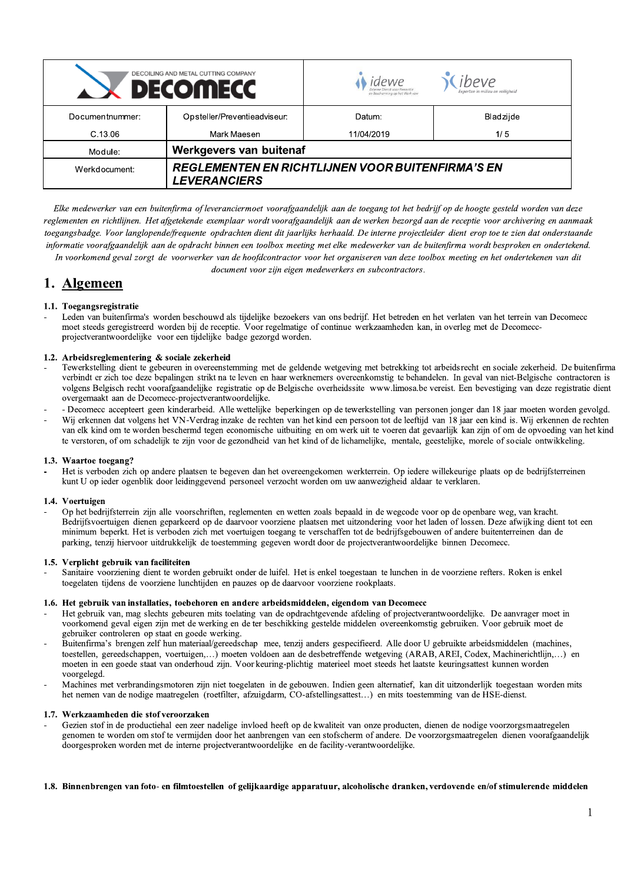|                 | <b>DECOMECC</b>                                                                                                                                                                                                                                                                                                                                                                                                                                                                                                                                                                                                                                                                                                              |                                                                                                                                                                                                                                                                                                         |           |
|-----------------|------------------------------------------------------------------------------------------------------------------------------------------------------------------------------------------------------------------------------------------------------------------------------------------------------------------------------------------------------------------------------------------------------------------------------------------------------------------------------------------------------------------------------------------------------------------------------------------------------------------------------------------------------------------------------------------------------------------------------|---------------------------------------------------------------------------------------------------------------------------------------------------------------------------------------------------------------------------------------------------------------------------------------------------------|-----------|
| Documentnummer: | Opsteller/Preventieadviseur:                                                                                                                                                                                                                                                                                                                                                                                                                                                                                                                                                                                                                                                                                                 | Datum:                                                                                                                                                                                                                                                                                                  | Bladzijde |
| C.13.06         | Mark Maesen                                                                                                                                                                                                                                                                                                                                                                                                                                                                                                                                                                                                                                                                                                                  | 11/04/2019                                                                                                                                                                                                                                                                                              | 1/5       |
| Module:         | Werkgevers van buitenaf                                                                                                                                                                                                                                                                                                                                                                                                                                                                                                                                                                                                                                                                                                      |                                                                                                                                                                                                                                                                                                         |           |
| Werkdocument:   | <b>REGLEMENTEN EN RICHTLIJNEN VOOR BUITENFIRMA'S EN</b><br><b>LEVERANCIERS</b>                                                                                                                                                                                                                                                                                                                                                                                                                                                                                                                                                                                                                                               |                                                                                                                                                                                                                                                                                                         |           |
|                 | Elke medewerker van een buitenfirma of leveranciermoet voorafgaandelijk aan de toegang tot het bedrijf op de hoogte gesteld worden van d<br>reglementen en richtlijnen. Het afgetekende exemplaar wordt voorafgaandelijk aan de werken bezorgd aan de receptie voor archivering en aar<br>toegangsbadge. Voor langlopende/frequente opdrachten dient dit jaarlijks herhaald. De interne projectleider dient erop toe te zien dat onderst<br>informatie voorafgaandelijk aan de opdracht binnen een toolbox meeting met elke medewerker van de buitenfirma wordt besproken en onderte<br>In voorkomend geval zorgt de voorwerker van de hoofdcontractor voor het organiseren van deze toolbox meeting en het ondertekenen van | $\mathbf{1}$ , the set of $\mathbf{1}$ , $\mathbf{1}$ , $\mathbf{1}$ , $\mathbf{1}$ , $\mathbf{1}$ , $\mathbf{1}$ , $\mathbf{1}$ , $\mathbf{1}$ , $\mathbf{1}$ , $\mathbf{1}$ , $\mathbf{1}$ , $\mathbf{1}$ , $\mathbf{1}$ , $\mathbf{1}$ , $\mathbf{1}$ , $\mathbf{1}$ , $\mathbf{1}$ , $\mathbf{1}$ , |           |

document voor zijn eigen medewerkers en subcontractors.

# 1. Algemeen

## 1.1. Toegangsregistratie

Leden van buitenfirma's worden beschouwd als tijdelijke bezoekers van ons bedrijf. Het betreden en het verlaten van het terrein van Decomecc moet steeds geregistreerd worden bij de receptie. Voor regelmatige of continue werkzaamheden kan, in overleg met de Decomeccprojectverantwoordelijke voor een tijdelijke badge gezorgd worden.

## $1.2.$  Arbeidsreglementering  $\alpha$  sociale zekerheid

- Tewerkstelling dient te gebeuren in overeenstemming met de geldende wetgeving met betrekking tot arbeidsrecht en sociale zekerheid. De buitenfirma verbindt er zich toe deze bepalingen strikt na te leven en haar werknemers overeenkomstig te behandelen. In geval van niet-Belgische contractoren is volgens Belgisch recht voorafgaandelijke registratie op de Belgische overheidssite www.limosa.be vereist. Een bevestiging van deze registratie dient overgemaakt aan de Decomecc-projectverantwoordelijke.
- Decomecc accepteert geen kinderarbeid. Alle wettelijke beperkingen op de tewerkstelling van personen jonger dan 18 jaar moeten worden gevolgd. Wij erkennen dat volgens het VN-Verdrag inzake de rechten van het kind een persoon tot de leeftijd van 18 jaar een kind is. Wij erkennen de rechten van elk kind om te worden beschermd tegen economische uitbuiting en om werk uit te voeren dat gevaarlijk kan zijn of om de opvoeding van het kind
- te verstoren, of om schadelijk te zijn voor de gezondheid van het kind of de lichamelijke, mentale, geestelijke, morele of sociale ontwikkeling.

### w 1.3. Waartoe toegang?

Het is verboden zich op andere plaatsen te begeven dan het overeengekomen werkterrein. Op iedere willekeurige plaats op de bedrijfsterreinen kunt U op ieder ogenblik door leidinggevend personeel verzocht worden om uw aanwezigheid aldaar te verklaren.

### w 1.4. Voertuigen

Op het bedrijfsterrein zijn alle voorschriften, reglementen en wetten zoals bepaald in de wegcode voor op de openbare weg, van kracht. Bedrijfsvoertuigen dienen geparkeerd op de daarvoor voorziene plaatsen met uitzondering voor het laden of lossen. Deze afwijking dient tot een minimum beperkt. Het is verboden zich met voertuigen toegang te verschaffen tot de bedrijfsgebouwen of andere buitenterreinen dan de parking, tenzij hiervoor uitdrukkelijk de toestemming gegeven wordt door de projectverantwoordelijke binnen Decomecc.

### $\mathbb{R}^2$ 1.5. Verplicht gebruik van faciliteiten

Sanitaire voorziening dient te worden gebruikt onder de luifel. Het is enkel toegestaan te lunchen in de voorziene refters. Roken is enkel toegelaten tijdens de voorziene lunchtijden en pauzes op de daarvoor voorziene rookplaats.

### i. 1.6. Het gebruik van installaties, toebehoren en andere arbeidsmiddelen, eigendom van Decomecc

- Het gebruik van, mag slechts gebeuren mits toelating van de opdrachtgevende afdeling of projectverantwoordelijke. De aanvrager moet in voorkomend geval eigen zijn met de werking en de ter beschikking gestelde middelen overeenkomstig gebruiken. Voor gebruik moet de gebruiker controleren op staat en goede werking.
- Buitenfirma's brengen zelf hun materiaal/gereedschap mee, tenzij anders gespecifieerd. Alle door U gebruikte arbeidsmiddelen (machines, toestellen, gereedschappen, voertuigen,...) moeten voldoen aan de desbetreffende wetgeving (ARAB, AREI, Codex, Machinerichtlijn,...) en moeten in een goede staat van onderhoud zijn. Voor keuring-plichtig materieel moet steeds het laatste keuringsattest kunnen worden voorgelegd
- Machines met verbrandingsmotoren zijn niet toegelaten in de gebouwen. Indien geen alternatief, kan dit uitzonderlijk toegestaan worden mits het nemen van de nodige maatregelen (roetfilter, afzuigdarm, CO-afstellingsattest...) en mits toestemming van de HSE-dienst.

### w 1.7. Werkzaamheden die stof veroorzaken

Gezien stof in de productiehal een zeer nadelige invloed heeft op de kwaliteit van onze producten, dienen de nodige voorzorgsmaatregelen genomen te worden om stof te vermijden door het aanbrengen van een stofscherm of andere. De voorzorgsmaatregelen dienen voorafgaandelijk doorgesproken worden met de interne projectverantwoordelijke en de facility-verantwoordelijke.

## 1.8. Binnenbrengen van foto- en filmtoestellen of gelijkaardige apparatuur, alcoholische dranken, verdovende en/of stimulerende middelen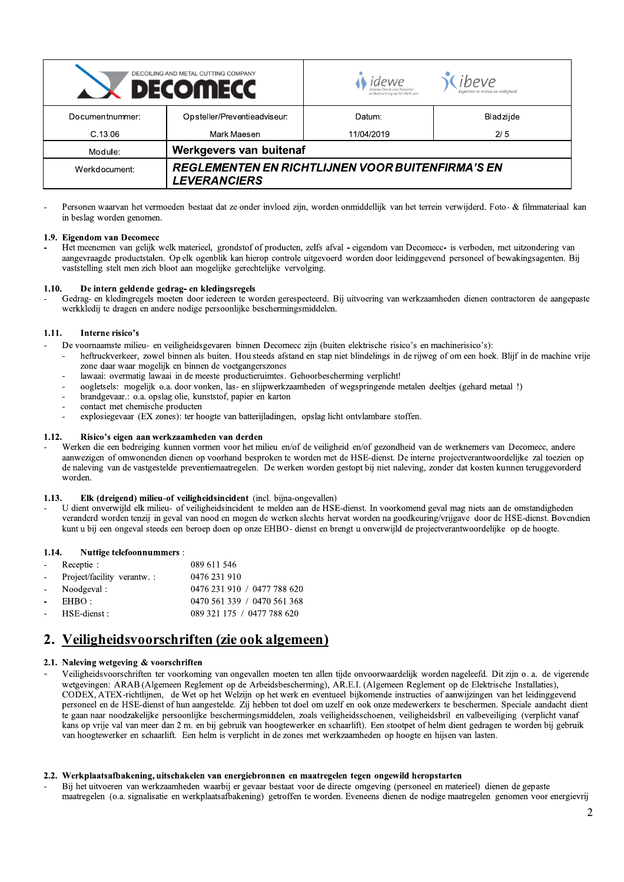| DECOILING AND METAL CUTTING COMPANY<br><b>DECOMECC</b> |                                                                                | idewe<br>en Bescherming op het Werk vzw | <i>ibeve</i><br>Experten in milieu en veiligheid |
|--------------------------------------------------------|--------------------------------------------------------------------------------|-----------------------------------------|--------------------------------------------------|
| Documentnummer:                                        | Opsteller/Preventieadviseur:                                                   | Datum:                                  | Bladzijde                                        |
| C.13.06                                                | Mark Maesen                                                                    | 11/04/2019                              | 2/5                                              |
| Module:                                                | Werkgevers van buitenaf                                                        |                                         |                                                  |
| Werkdocument:                                          | <b>REGLEMENTEN EN RICHTLIJNEN VOOR BUITENFIRMA'S EN</b><br><b>LEVERANCIERS</b> |                                         |                                                  |

Personen waarvan het vermoeden bestaat dat ze onder invloed zijn, worden onmiddellijk van het terrein verwijderd. Foto- & filmmateriaal kan in beslag worden genomen.

### 1.9. Eigendom van Decomecc

Het meenemen van gelijk welk materieel, grondstof of producten, zelfs afval - eigendom van Decomecc- is verboden, met uitzondering van aangevraagde productstalen. Op elk ogenblik kan hierop controle uitgevoerd worden door leidinggevend personeel of bewakingsagenten. Bij vaststelling stelt men zich bloot aan mogelijke gerechtelijke vervolging.

#### $1.10.$ De intern geldende gedrag- en kledingsregels

Gedrag- en kledingregels moeten door jedereen te worden gerespecteerd. Bij uitvoering van werkzaamheden dienen contractoren de aangepaste werkkledij te dragen en andere nodige persoonlijke beschermingsmiddelen.

#### $1.11.$ Interne risico's

- De voornaamste milieu- en veiligheidsgevaren binnen Decomecc zijn (buiten elektrische risico's en machinerisico's):
- heftruckverkeer, zowel binnen als buiten. Hou steeds afstand en stap niet blindelings in de rijweg of om een hoek. Blijf in de machine vrije zone daar waar mogelijk en binnen de voetgangerszones
- lawaai: overmatig lawaai in de meeste productieruimtes. Gehoorbescherming verplicht!
- oogletsels: mogelijk o.a. door vonken, las- en slijpwerkzaamheden of wegspringende metalen deeltjes (gehard metaal !)
- brandgevaar.: o.a. opslag olie, kunststof, papier en karton
- contact met chemische producten
- explosiegevaar (EX zones): ter hoogte van batterijladingen, opslag licht ontvlambare stoffen.

#### Risico's eigen aan werkzaamheden van derden  $1.12.$

Werken die een bedreiging kunnen vormen voor het milieu en/of de veiligheid en/of gezondheid van de werknemers van Decomecc, andere aanwezigen of omwonenden dienen op voorhand besproken te worden met de HSE-dienst. De interne projectverantwoordelijke zal toezien op de naleving van de vastgestelde preventiemaatregelen. De werken worden gestopt bij niet naleving, zonder dat kosten kunnen teruggevorderd worden.

#### Elk (dreigend) milieu-of veiligheidsincident (incl. bijna-ongevallen)  $1.13.$

U dient onverwijld elk milieu- of veiligheidsincident te melden aan de HSE-dienst. In voorkomend geval mag niets aan de omstandigheden veranderd worden tenzij in geval van nood en mogen de werken slechts hervat worden na goedkeuring/vrijgave door de HSE-dienst. Bovendien kunt u bij een ongeval steeds een beroep doen op onze EHBO- dienst en brengt u onverwijld de projectverantwoordelijke op de hoogte.

#### 1.14. Nuttige telefoonnummers :

| $\sim 100$ | Receptie :                 | 089 611 546                 |
|------------|----------------------------|-----------------------------|
| $\sim 100$ | Project/facility verantw.: | 0476 231 910                |
| $\sim 100$ | Noodgeval:                 | 0476 231 910 / 0477 788 620 |
|            | EHBO:                      | 0470 561 339 / 0470 561 368 |
|            | HSE-dienst:                | 089 321 175 / 0477 788 620  |
|            |                            |                             |

# 2. Veiligheidsvoorschriften (zie ook algemeen)

### 2.1. Naleving wetgeving & voorschriften

Veiligheidsvoorschriften ter voorkoming van ongevallen moeten ten allen tijde onvoorwaardelijk worden nageleefd. Dit zijn o. a. de vigerende wetgevingen: ARAB (Algemeen Reglement op de Arbeidsbescherming), AR.E.I. (Algemeen Reglement op de Elektrische Installaties), CODEX, ATEX-richtlijnen, de Wet op het Welzijn op het werk en eventueel bijkomende instructies of aanwijzingen van het leidinggevend personeel en de HSE-dienst of hun aangestelde. Zij hebben tot doel om uzelf en ook onze medewerkers te beschermen. Speciale aandacht dient te gaan naar noodzakelijke persoonlijke beschermingsmiddelen, zoals veiligheidsschoenen, veiligheidsbril en valbeveiliging (verplicht vanaf kans op vrije val van meer dan 2 m. en bij gebruik van hoogtewerker en schaarlift). Een stootpet of helm dient gedragen te worden bij gebruik van hoogtewerker en schaarlift. Een helm is verplicht in de zones met werkzaamheden op hoogte en hijsen van lasten.

## 2.2. Werkplaatsafbakening, uitschakelen van energiebronnen en maatregelen tegen ongewild heropstarten

Bij het uitvoeren van werkzaamheden waarbij er gevaar bestaat voor de directe omgeving (personeel en materieel) dienen de gepaste maatregelen (o.a. signalisatie en werkplaatsafbakening) getroffen te worden. Eveneens dienen de nodige maatregelen genomen voor energievrij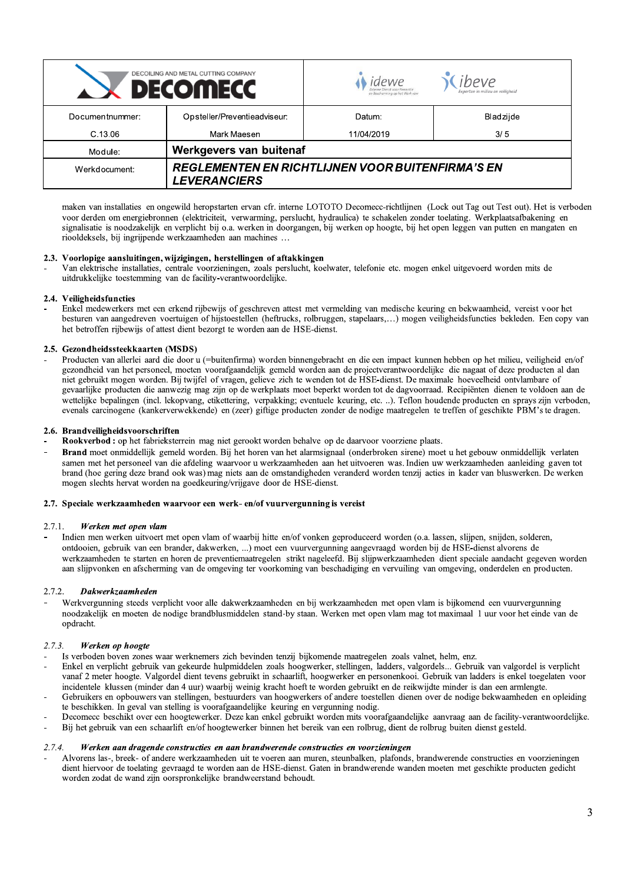| DECOILING AND METAL CUTTING COMPANY<br><b>DECOMECC</b> |                                                                                | idewe<br>en Bescherming op het Werk vzw | ibeve .<br>Experten in milieu en veiliaheid |
|--------------------------------------------------------|--------------------------------------------------------------------------------|-----------------------------------------|---------------------------------------------|
| Documentnummer:                                        | Opsteller/Preventieadviseur:                                                   | Datum:                                  | Bladzijde                                   |
| C.13.06                                                | Mark Maesen                                                                    | 11/04/2019                              | 3/5                                         |
| Module:                                                | Werkgevers van buitenaf                                                        |                                         |                                             |
| Werkdocument:                                          | <b>REGLEMENTEN EN RICHTLIJNEN VOOR BUITENFIRMA'S EN</b><br><b>LEVERANCIERS</b> |                                         |                                             |

maken van installaties en ongewild heropstarten ervan cfr. interne LOTOTO Decomecc-richtlijnen (Lock out Tag out Test out). Het is verboden voor derden om energiebronnen (elektriciteit, verwarming, perslucht, hydraulica) te schakelen zonder toelating. Werkplaatsafbakening en signalisatie is noodzakelijk en verplicht bij o.a. werken in doorgangen, bij werken op hoogte, bij het open leggen van putten en mangaten en riooldeksels, bij ingrijpende werkzaamheden aan machines ...

### 2.3. Voorlopige aansluitingen, wijzigingen, herstellingen of aftakkingen

Van elektrische installaties, centrale voorzieningen, zoals perslucht, koelwater, telefonie etc. mogen enkel uitgevoerd worden mits de uitdrukkelijke toestemming van de facility-verantwoordelijke.

## 2.4. Veiligheidsfuncties

Enkel medewerkers met een erkend rijbewijs of geschreven attest met vermelding van medische keuring en bekwaamheid, vereist voor het besturen van aangedreven voertuigen of hijstoestellen (heftrucks, rolbruggen, stapelaars,...) mogen veiligheidsfuncties bekleden. Een copy van het betroffen rijbewijs of attest dient bezorgt te worden aan de HSE-dienst.

## 2.5. Gezondheidssteekkaarten (MSDS)

Producten van allerlei aard die door u (=buitenfirma) worden binnengebracht en die een impact kunnen hebben op het milieu, veiligheid en/of gezondheid van het personeel, moeten voorafgaandelijk gemeld worden aan de projectverantwoordelijke die nagaat of deze producten al dan niet gebruikt mogen worden. Bij twijfel of vragen, gelieve zich te wenden tot de HSE-dienst. De maximale hoeveelheid ontvlambare of gevaarlijke producten die aanwezig mag zijn op de werkplaats moet beperkt worden tot de dagvoorraad. Recipiënten dienen te voldoen aan de wettelijke bepalingen (incl. lekopvang, etikettering, verpakking; eventuele keuring, etc. ..). Teflon houdende producten en sprays zijn verboden, evenals carcinogene (kankerverwekkende) en (zeer) giftige producten zonder de nodige maatregelen te treffen of geschikte PBM's te dragen.

### 2.6. Brandveiligheidsvoorschriften

- Rookverbod : op het fabrieksterrein mag niet gerookt worden behalve op de daarvoor voorziene plaats.
- Brand moet onmiddellijk gemeld worden. Bij het horen van het alarmsignaal (onderbroken sirene) moet u het gebouw onmiddellijk verlaten samen met het personeel van die afdeling waarvoor uwerkzaamheden aan het uitvoeren was. Indien uw werkzaamheden aanleiding gaven tot brand (hoe gering deze brand ook was) mag niets aan de omstandigheden veranderd worden tenzij acties in kader van bluswerken. De werken mogen slechts hervat worden na goedkeuring/vrijgave door de HSE-dienst.

### 2.7. Speciale werkzaamheden waarvoor een werk- en/of vuurvergunning is vereist

#### $271$ Werken met open vlam

Indien men werken uitvoert met open vlam of waarbij hitte en/of vonken geproduceerd worden (o.a. lassen, slijpen, snijden, solderen, ontdooien, gebruik van een brander, dakwerken, ...) moet een vuurvergunning aangevraagd worden bij de HSE-dienst alvorens de werkzaamheden te starten en horen de preventiemaatregelen strikt nageleefd. Bij slijpwerkzaamheden dient speciale aandacht gegeven worden aan slijpvonken en afscherming van de omgeving ter voorkoming van beschadiging en vervuiling van omgeving, onderdelen en producten.

#### $2.7.2.$ **Dakwerkzaamheden**

Werkvergunning steeds verplicht voor alle dakwerkzaamheden en bij werkzaamheden met open vlam is bijkomend een vuurvergunning noodzakelijk en moeten de nodige brandblusmiddelen stand-by staan. Werken met open vlam mag tot maximaal 1 uur voor het einde van de opdracht.

#### $2.7.3.$ Werken op hoogte

- Is verboden boven zones waar werknemers zich bevinden tenzij bijkomende maatregelen zoals valnet, helm, enz.
- Enkel en verplicht gebruik van gekeurde hulpmiddelen zoals hoogwerker, stellingen, ladders, valgordels... Gebruik van valgordel is verplicht vanaf 2 meter hoogte. Valgordel dient tevens gebruikt in schaarlift, hoogwerker en personenkooi. Gebruik van ladders is enkel toegelaten voor incidentele klussen (minder dan 4 uur) waarbij weinig kracht hoeft te worden gebruikt en de reikwijdte minder is dan een armlengte.
- Gebruikers en opbouwers van stellingen, bestuurders van hoogwerkers of andere toestellen dienen over de nodige bekwaamheden en opleiding te beschikken. In geval van stelling is voorafgaandelijke keuring en vergunning nodig.
- Decomecc beschikt over een hoogtewerker. Deze kan enkel gebruikt worden mits voorafgaandelijke aanvraag aan de facility-verantwoordelijke. Bij het gebruik van een schaarlift en/of hoogtewerker binnen het bereik van een rolbrug, dient de rolbrug buiten dienst gesteld.

### $2.7.4$ Werken aan dragende constructies en aan brandwerende constructies en voorzieningen

Alvorens las-, breek- of andere werkzaamheden uit te voeren aan muren, steunbalken, plafonds, brandwerende constructies en voorzieningen dient hiervoor de toelating gevraagd te worden aan de HSE-dienst. Gaten in brandwerende wanden moeten met geschikte producten gedicht worden zodat de wand zijn oorspronkelijke brandweerstand behoudt.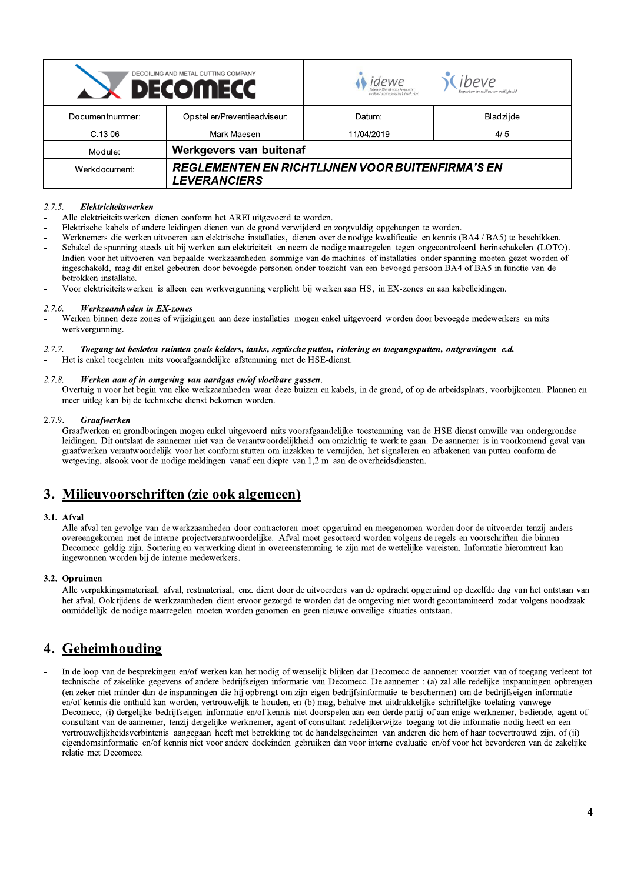| DECOILING AND METAL CUTTING COMPANY<br><b>DECOMECC</b> |                                                                                | idewe<br>en Bescherming op het Werk vzw | <i>ibeve</i><br>Experten in milieu en veiligheid |
|--------------------------------------------------------|--------------------------------------------------------------------------------|-----------------------------------------|--------------------------------------------------|
| Documentnummer:                                        | Opsteller/Preventieadviseur:                                                   | Datum:                                  | Bladzijde                                        |
| C.13.06                                                | Mark Maesen                                                                    | 11/04/2019                              | 4/5                                              |
| Module:                                                | Werkgevers van buitenaf                                                        |                                         |                                                  |
| Werkdocument:                                          | <b>REGLEMENTEN EN RICHTLIJNEN VOOR BUITENFIRMA'S EN</b><br><b>LEVERANCIERS</b> |                                         |                                                  |

#### 275 **Elektriciteitswerken**

- Alle elektriciteitswerken dienen conform het AREI uitgevoerd te worden.
- Elektrische kabels of andere leidingen dienen van de grond verwijderd en zorgvuldig opgehangen te worden.
- Werknemers die werken uitvoeren aan elektrische installaties, dienen over de nodige kwalificatie en kennis (BA4/BA5) te beschikken.
- Schakel de spanning steeds uit bij werken aan elektriciteit en neem de nodige maatregelen tegen ongecontroleerd herinschakelen (LOTO). Indien voor het uitvoeren van bepaalde werkzaamheden sommige van de machines of installaties onder spanning moeten gezet worden of ingeschakeld, mag dit enkel gebeuren door bevoegde personen onder toezicht van een bevoegd persoon BA4 of BA5 in functie van de betrokken installatie.
- Voor elektriciteitswerken is alleen een werkvergunning verplicht bij werken aan HS, in EX-zones en aan kabelleidingen.

#### $2.76$ Werkzaamheden in EX-zones

Werken binnen deze zones of wijzigingen aan deze installaties mogen enkel uitgevoerd worden door bevoegde medewerkers en mits werkvergunning.

#### $2.7.7$ Toegang tot besloten ruimten zoals kelders, tanks, septische putten, riolering en toegangsputten, ontgravingen e.d.

Het is enkel toegelaten mits voorafgaandelijke afstemming met de HSE-dienst.

#### $2.7.8.$ Werken aan of in omgeving van aardgas en/of vloeibare gassen.

Overtuig u voor het begin van elke werkzaamheden waar deze buizen en kabels, in de grond, of op de arbeidsplaats, voorbijkomen. Plannen en meer uitleg kan bij de technische dienst bekomen worden.

#### 2.7.9. **Graafwerken**

Graafwerken en grondboringen mogen enkel uitgevoerd mits voorafgaandelijke toestemming van de HSE-dienst omwille van ondergrondse leidingen. Dit ontslaat de aannemer niet van de verantwoordelijkheid om omzichtig te werk te gaan. De aannemer is in voorkomend geval van graafwerken verantwoordelijk voor het conform stutten om inzakken te vermijden, het signaleren en afbakenen van putten conform de wetgeving, alsook voor de nodige meldingen vanaf een diepte van 1,2 m aan de overheidsdiensten.

# 3. Milieuvoorschriften (zie ook algemeen)

### 3.1. Afval

Alle afval ten gevolge van de werkzaamheden door contractoren moet opgeruimd en meegenomen worden door de uitvoerder tenzij anders overeengekomen met de interne projectverantwoordelijke. Afval moet gesorteerd worden volgens de regels en voorschriften die binnen Decomecc geldig zijn. Sortering en verwerking dient in overeenstemming te zijn met de wettelijke vereisten. Informatie hieromtrent kan ingewonnen worden bij de interne medewerkers.

## 3.2. Opruimen

Alle verpakkingsmateriaal, afval, restmateriaal, enz. dient door de uitvoerders van de opdracht opgeruimd op dezelfde dag van het ontstaan van het afval. Ook tijdens de werkzaamheden dient ervoor gezorgd te worden dat de omgeving niet wordt gecontamineerd zodat volgens noodzaak onmiddellijk de nodige maatregelen moeten worden genomen en geen nieuwe onveilige situaties ontstaan.

# 4. Geheimhouding

In de loop van de besprekingen en/of werken kan het nodig of wenselijk blijken dat Decomecc de aannemer voorziet van of toegang verleent tot technische of zakelijke gegevens of andere bedrijfseigen informatie van Decomecc. De aannemer : (a) zal alle redelijke inspanningen opbrengen (en zeker niet minder dan de inspanningen die hij opbrengt om zijn eigen bedrijfsinformatie te beschermen) om de bedrijfseigen informatie en/of kennis die onthuld kan worden, vertrouwelijk te houden, en (b) mag, behalve met uitdrukkelijke schriftelijke toelating vanwege Decomecc, (i) dergelijke bedrijfseigen informatie en/of kennis niet doorspelen aan een derde partij of aan enige werknemer, bediende, agent of consultant van de aannemer, tenzij dergelijke werknemer, agent of consultant redelijkerwijze toegang tot die informatie nodig heeft en een vertrouwelijkheidsverbintenis aangegaan heeft met betrekking tot de handelsgeheimen van anderen die hem of haar toevertrouwd zijn, of (ii) eigendomsinformatie en/of kennis niet voor andere doeleinden gebruiken dan voor interne evaluatie en/of voor het bevorderen van de zakelijke relatie met Decomecc.